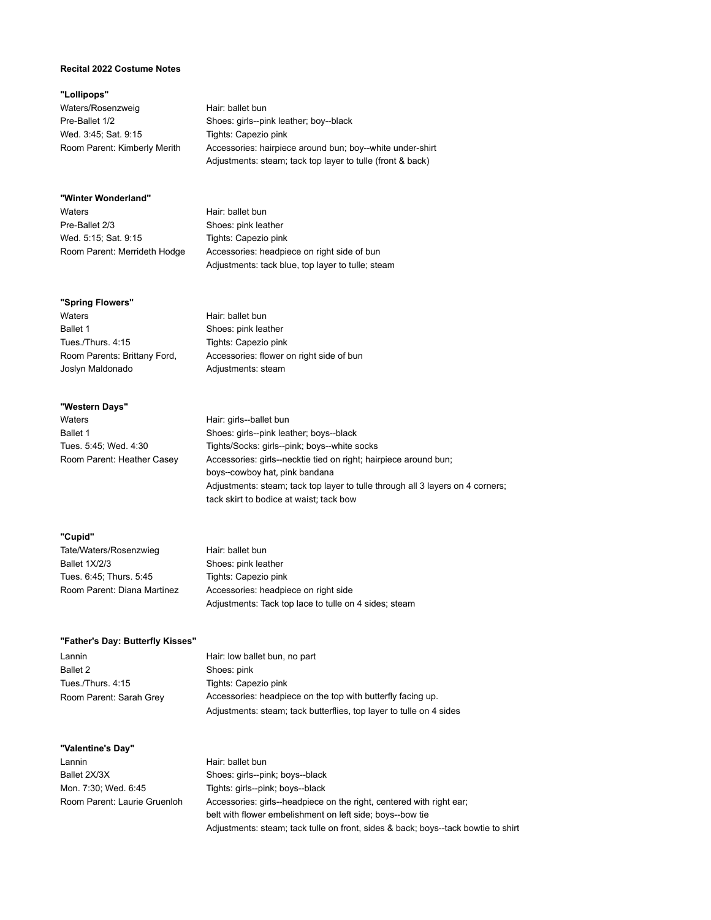### **Recital 2022 Costume Notes**

### **"Lollipops"**

Waters/Rosenzweig Hair: ballet bun Wed. 3:45; Sat. 9:15 Tights: Capezio pink

Pre-Ballet 1/2 Shoes: girls--pink leather; boy--black Room Parent: Kimberly Merith Accessories: hairpiece around bun; boy--white under-shirt Adjustments: steam; tack top layer to tulle (front & back)

#### **"Winter Wonderland"**

Waters **Hair:** ballet bun Pre-Ballet 2/3 Shoes: pink leather Wed. 5:15; Sat. 9:15 Tights: Capezio pink

Room Parent: Merrideth Hodge Accessories: headpiece on right side of bun Adjustments: tack blue, top layer to tulle; steam

#### **"Spring Flowers"**

Waters **Hair:** ballet bun Ballet 1 Shoes: pink leather Tues./Thurs. 4:15 Tights: Capezio pink Joslyn Maldonado **Adjustments:** steam

Room Parents: Brittany Ford, Accessories: flower on right side of bun

#### **"Western Days"**

Waters **Hair:** girls--ballet bun

Ballet 1 Shoes: girls--pink leather; boys--black Tues. 5:45; Wed. 4:30 Tights/Socks: girls--pink; boys--white socks Room Parent: Heather Casey Accessories: girls--necktie tied on right; hairpiece around bun; boys--cowboy hat, pink bandana Adjustments: steam; tack top layer to tulle through all 3 layers on 4 corners; tack skirt to bodice at waist; tack bow

#### **"Cupid"**

Tate/Waters/Rosenzwieg Hair: ballet bun Ballet 1X/2/3 Shoes: pink leather Tues. 6:45; Thurs. 5:45 Tights: Capezio pink

Room Parent: Diana Martinez Accessories: headpiece on right side Adjustments: Tack top lace to tulle on 4 sides; steam

#### **"Father's Day: Butterfly Kisses"**

Lannin **Lannin** Hair: low ballet bun, no part Ballet 2 Shoes: pink Tues./Thurs. 4:15 Tights: Capezio pink Room Parent: Sarah Grey Accessories: headpiece on the top with butterfly facing up. Adjustments: steam; tack butterflies, top layer to tulle on 4 sides

### **"Valentine's Day"**

Lannin Hair: ballet bun Ballet 2X/3X Shoes: girls--pink; boys--black Mon. 7:30; Wed. 6:45 Tights: girls--pink; boys--black

Room Parent: Laurie Gruenloh Accessories: girls--headpiece on the right, centered with right ear; belt with flower embelishment on left side; boys--bow tie Adjustments: steam; tack tulle on front, sides & back; boys--tack bowtie to shirt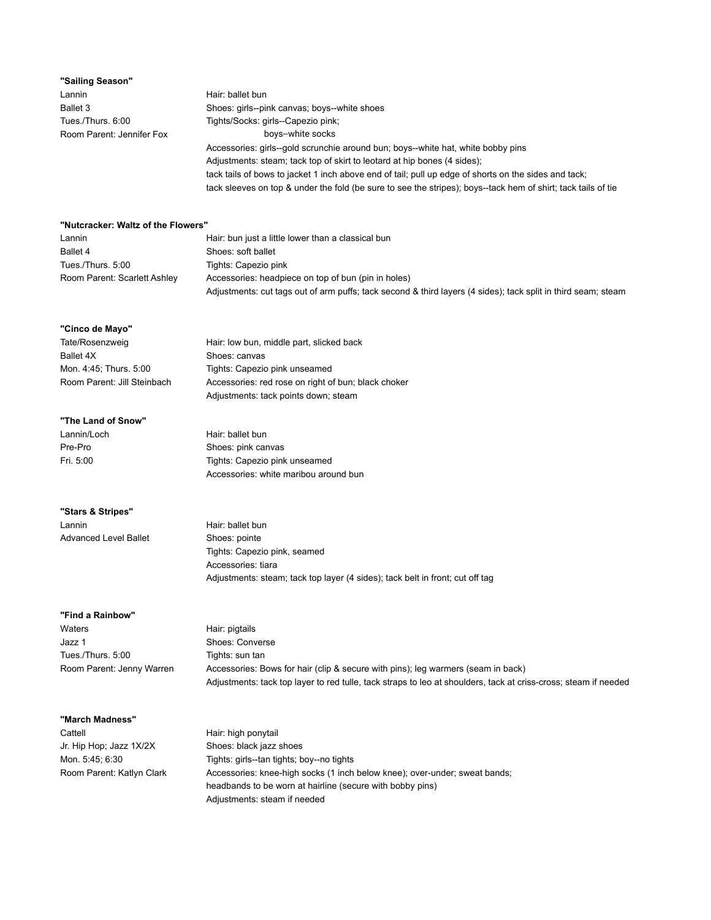| "Sailing Season"          |                                                                                                      |
|---------------------------|------------------------------------------------------------------------------------------------------|
| Lannin                    | Hair: ballet bun                                                                                     |
| Ballet 3                  | Shoes: girls--pink canvas; boys--white shoes                                                         |
| Tues./Thurs. 6:00         | Tights/Socks: girls--Capezio pink;                                                                   |
| Room Parent: Jennifer Fox | boys-white socks                                                                                     |
|                           | Accessories: girls--gold scrunchie around bun; boys--white hat, white bobby pins                     |
|                           | Adjustments: steam; tack top of skirt to leotard at hip bones (4 sides);                             |
|                           | tack tails of bows to jacket 1 inch above end of tail; pull up edge of shorts on the sides and tack; |

tack sleeves on top & under the fold (be sure to see the stripes); boys--tack hem of shirt; tack tails of tie

### **"Nutcracker: Waltz of the Flowers"**

| Lannin                       | Hair: bun just a little lower than a classical bun                                                            |
|------------------------------|---------------------------------------------------------------------------------------------------------------|
| Ballet 4                     | Shoes: soft ballet                                                                                            |
| Tues./Thurs. 5:00            | Tights: Capezio pink                                                                                          |
| Room Parent: Scarlett Ashley | Accessories: headpiece on top of bun (pin in holes)                                                           |
|                              | Adjustments: cut tags out of arm puffs; tack second & third layers (4 sides); tack split in third seam; steam |

#### **"Cinco de Mayo"**

| Hair: low bun, middle part, slicked back            |
|-----------------------------------------------------|
| Shoes: canvas                                       |
| Tights: Capezio pink unseamed                       |
| Accessories: red rose on right of bun; black choker |
| Adjustments: tack points down; steam                |
|                                                     |

Hair: ballet bun Shoes: pink canvas

Tights: Capezio pink unseamed Accessories: white maribou around bun

#### **"The Land of Snow"**

| Lannin/Loch |  |
|-------------|--|
| Pre-Pro     |  |
| Fri. 5:00   |  |

### **"Stars & Stripes"**

Lannin Hair: ballet bun Advanced Level Ballet Shoes: pointe

Tights: Capezio pink, seamed Accessories: tiara Adjustments: steam; tack top layer (4 sides); tack belt in front; cut off tag

#### **"Find a Rainbow"**

| .                         |                                                                                                                 |
|---------------------------|-----------------------------------------------------------------------------------------------------------------|
| Waters                    | Hair: pigtails                                                                                                  |
| Jazz 1                    | Shoes: Converse                                                                                                 |
| Tues./Thurs. 5:00         | Tights: sun tan                                                                                                 |
| Room Parent: Jenny Warren | Accessories: Bows for hair (clip & secure with pins); leg warmers (seam in back)                                |
|                           | Adjustments: tack top layer to red tulle, tack straps to leo at shoulders, tack at criss-cross; steam if needed |

#### **"March Madness"**

Cattell **Hair:** high ponytail Jr. Hip Hop; Jazz 1X/2X Shoes: black jazz shoes

Mon. 5:45; 6:30 Tights: girls--tan tights; boy--no tights Room Parent: Katlyn Clark Accessories: knee-high socks (1 inch below knee); over-under; sweat bands; headbands to be worn at hairline (secure with bobby pins) Adjustments: steam if needed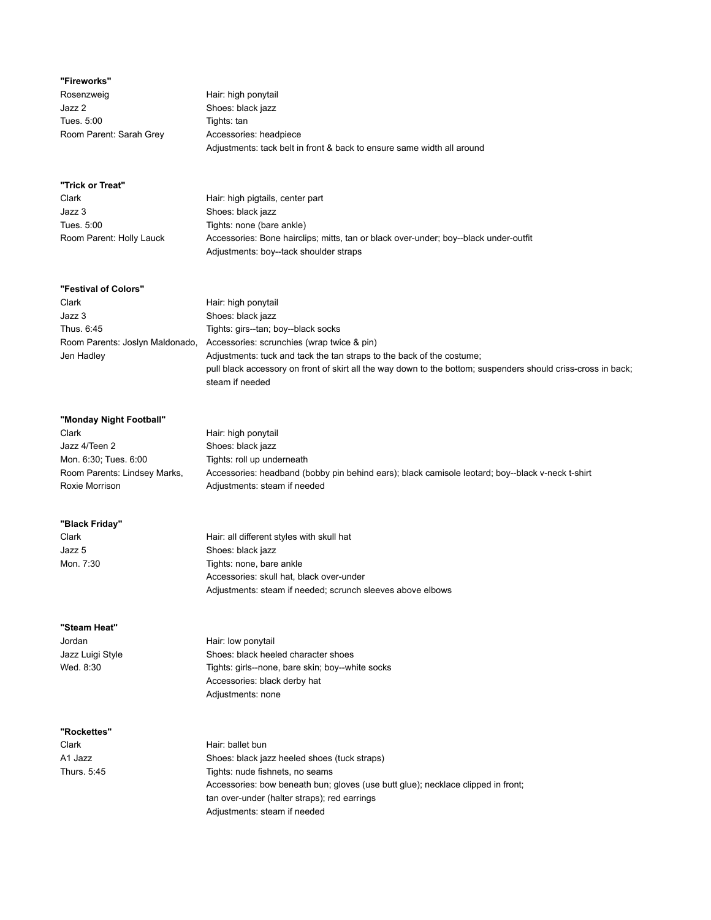## **"Fireworks"**

Rosenzweig **Hair:** high ponytail Jazz 2 Shoes: black jazz Tues. 5:00 Tights: tan Room Parent: Sarah Grey **Accessories: headpiece** 

Adjustments: tack belt in front & back to ensure same width all around

| "Trick or Treat"         |                                                                                      |
|--------------------------|--------------------------------------------------------------------------------------|
| Clark                    | Hair: high pigtails, center part                                                     |
| Jazz 3                   | Shoes: black jazz                                                                    |
| Tues. 5:00               | Tights: none (bare ankle)                                                            |
| Room Parent: Holly Lauck | Accessories: Bone hairclips; mitts, tan or black over-under; boy--black under-outfit |
|                          | Adjustments: boy--tack shoulder straps                                               |

### **"Festival of Colors"**

| Clark                           | Hair: high ponytail                                                                                           |
|---------------------------------|---------------------------------------------------------------------------------------------------------------|
| Jazz 3                          | Shoes: black jazz                                                                                             |
| Thus, 6:45                      | Tights: girs--tan; boy--black socks                                                                           |
| Room Parents: Joslyn Maldonado, | Accessories: scrunchies (wrap twice & pin)                                                                    |
| Jen Hadley                      | Adjustments: tuck and tack the tan straps to the back of the costume;                                         |
|                                 | pull black accessory on front of skirt all the way down to the bottom; suspenders should criss-cross in back; |
|                                 | steam if needed                                                                                               |

| "Monday Night Football"      |                                                                                                  |
|------------------------------|--------------------------------------------------------------------------------------------------|
| Clark                        | Hair: high ponytail                                                                              |
| Jazz 4/Teen 2                | Shoes: black jazz                                                                                |
| Mon. 6:30; Tues. 6:00        | Tights: roll up underneath                                                                       |
| Room Parents: Lindsey Marks, | Accessories: headband (bobby pin behind ears); black camisole leotard; boy--black v-neck t-shirt |
| Roxie Morrison               | Adjustments: steam if needed                                                                     |

Adjustments: steam if needed; scrunch sleeves above elbows

#### **"Black Friday"**

| Clark     | Hair: all different styles with skull hat |
|-----------|-------------------------------------------|
| Jazz 5    | Shoes: black jazz                         |
| Mon. 7:30 | Tights: none, bare ankle                  |
|           | Accessories: skull hat, black over-under  |

### **"Steam Heat"**

**"Rockettes"**

Clark Hair: ballet bun

Jordan **Hair:** low ponytail Jazz Luigi Style Shoes: black heeled character shoes Wed. 8:30 Tights: girls--none, bare skin; boy--white socks Accessories: black derby hat Adjustments: none

A1 Jazz Shoes: black jazz heeled shoes (tuck straps) Thurs. 5:45 Tights: nude fishnets, no seams Accessories: bow beneath bun; gloves (use butt glue); necklace clipped in front; tan over-under (halter straps); red earrings Adjustments: steam if needed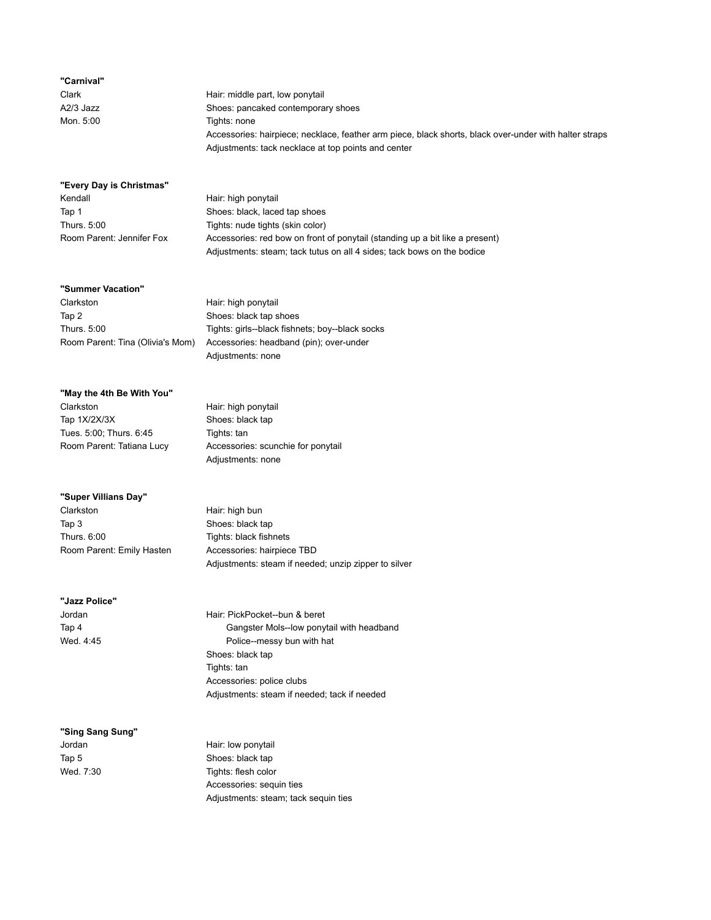### **"Carnival"**

Clark **Hair:** middle part, low ponytail A2/3 Jazz Shoes: pancaked contemporary shoes Mon. 5:00 Tights: none Accessories: hairpiece; necklace, feather arm piece, black shorts, black over-under with halter straps Adjustments: tack necklace at top points and center

### **"Every Day is Christmas"**

Kendall **Hair:** high ponytail

Tap 1 Shoes: black, laced tap shoes Thurs. 5:00 Tights: nude tights (skin color) Room Parent: Jennifer Fox Accessories: red bow on front of ponytail (standing up a bit like a present) Adjustments: steam; tack tutus on all 4 sides; tack bows on the bodice

### **"Summer Vacation"**

Clarkston Hair: high ponytail Tap 2 Shoes: black tap shoes

Thurs. 5:00 Tights: girls--black fishnets; boy--black socks Room Parent: Tina (Olivia's Mom) Accessories: headband (pin); over-under Adjustments: none

#### **"May the 4th Be With You"**

Clarkston Hair: high ponytail Tap 1X/2X/3X Shoes: black tap Tues. 5:00; Thurs. 6:45 Tights: tan

Room Parent: Tatiana Lucy **Accessories: scunchie for ponytail** Adjustments: none

#### **"Super Villians Day"**

Clarkston Hair: high bun Tap 3 Shoes: black tap Thurs. 6:00 Tights: black fishnets Room Parent: Emily Hasten Accessories: hairpiece TBD

Adjustments: steam if needed; unzip zipper to silver

**"Jazz Police"**

Jordan Hair: PickPocket--bun & beret Tap 4 Gangster Mols--low ponytail with headband Wed. 4:45 Wed. 4:45 Shoes: black tap Tights: tan Accessories: police clubs Adjustments: steam if needed; tack if needed

**"Sing Sang Sung"** Jordan **Hair:** low ponytail

Tap 5 Shoes: black tap Wed. 7:30 Tights: flesh color Accessories: sequin ties Adjustments: steam; tack sequin ties